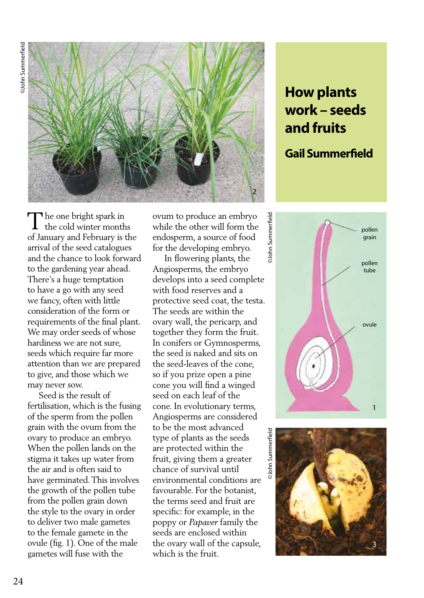

## **How plants work – seeds and fruits**

## **Gail Summerfield**

pollen qrain

pollen tube

ovule

The one bright spark in  $\prod$  he one bright spark in<br>the cold winter months of January and February is the arrival of the seed catalogues and the chance to look forward to the gardening year ahead. There's a huge temptation to have a go with any seed we fancy, often with little consideration of the form or requirements of the final plant. We may order seeds of whose hardiness we are not sure, seeds which require far more attention than we are prepared to give, and those which we may never sow.

 Seed is the result of fertilisation, which is the fusing of the sperm from the pollen grain with the ovum from the ovary to produce an embryo. When the pollen lands on the stigma it takes up water from the air and is often said to have germinated. This involves the growth of the pollen tube from the pollen grain down the style to the ovary in order to deliver two male gametes to the female gamete in the ovule (fig. 1). One of the male gametes will fuse with the

ovum to produce an embryo while the other will form the endosperm, a source of food for the developing embryo.

 In flowering plants, the Angiosperms, the embryo develops into a seed complete with food reserves and a protective seed coat, the testa. The seeds are within the ovary wall, the pericarp, and together they form the fruit. In conifers or Gymnosperms, the seed is naked and sits on the seed-leaves of the cone, so if you prize open a pine cone you will find a winged seed on each leaf of the cone. In evolutionary terms, Angiosperms are considered to be the most advanced type of plants as the seeds are protected within the fruit, giving them a greater chance of survival until environmental conditions are favourable. For the botanist, the terms seed and fruit are specific: for example, in the poppy or *Papaver* family the seeds are enclosed within the ovary wall of the capsule, which is the fruit.



©John Summerfield ©John Summerfield John Summerfield

**John Summerfield** 

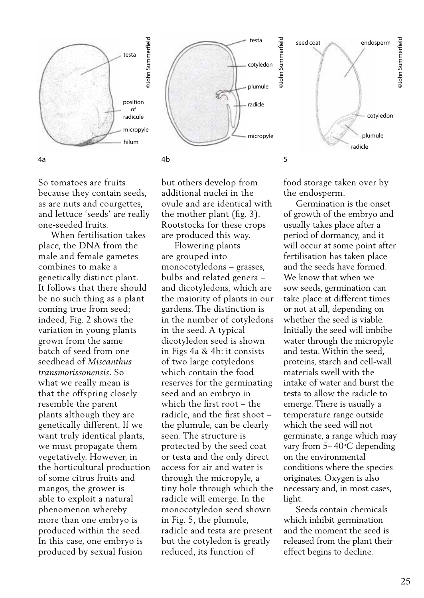





So tomatoes are fruits because they contain seeds, as are nuts and courgettes, and lettuce 'seeds' are really one-seeded fruits.

 When fertilisation takes place, the DNA from the male and female gametes combines to make a genetically distinct plant. It follows that there should be no such thing as a plant coming true from seed; indeed, Fig. 2 shows the variation in young plants grown from the same batch of seed from one seedhead of *Miscanthus transmorissonensis*. So what we really mean is that the offspring closely resemble the parent plants although they are genetically different. If we want truly identical plants, we must propagate them vegetatively. However, in the horticultural production of some citrus fruits and mangos, the grower is able to exploit a natural phenomenon whereby more than one embryo is produced within the seed. In this case, one embryo is produced by sexual fusion

but others develop from additional nuclei in the ovule and are identical with the mother plant (fig. 3). Rootstocks for these crops are produced this way.

 Flowering plants are grouped into monocotyledons – grasses, bulbs and related genera – and dicotyledons, which are the majority of plants in our gardens. The distinction is in the number of cotyledons in the seed. A typical dicotyledon seed is shown in Figs 4a & 4b: it consists of two large cotyledons which contain the food reserves for the germinating seed and an embryo in which the first root – the radicle, and the first shoot – the plumule, can be clearly seen. The structure is protected by the seed coat or testa and the only direct access for air and water is through the micropyle, a tiny hole through which the radicle will emerge. In the monocotyledon seed shown in Fig. 5, the plumule, radicle and testa are present but the cotyledon is greatly reduced, its function of

food storage taken over by the endosperm.

 Germination is the onset of growth of the embryo and usually takes place after a period of dormancy, and it will occur at some point after fertilisation has taken place and the seeds have formed. We know that when we sow seeds, germination can take place at different times or not at all, depending on whether the seed is viable. Initially the seed will imbibe water through the micropyle and testa. Within the seed, proteins, starch and cell-wall materials swell with the intake of water and burst the testa to allow the radicle to emerge. There is usually a temperature range outside which the seed will not germinate, a range which may vary from 5–40°C depending on the environmental conditions where the species originates. Oxygen is also necessary and, in most cases, light.

 Seeds contain chemicals which inhibit germination and the moment the seed is released from the plant their effect begins to decline.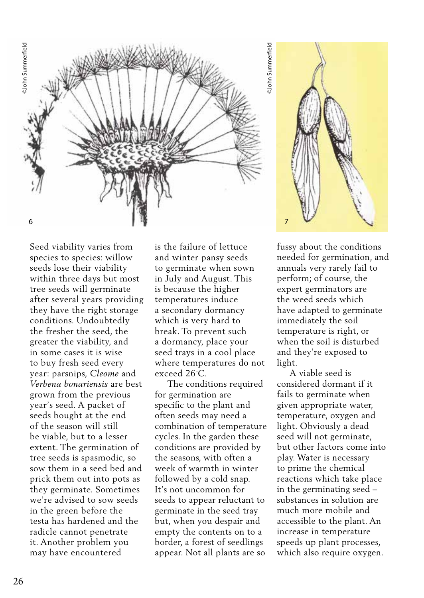

Seed viability varies from species to species: willow seeds lose their viability within three days but most tree seeds will germinate after several years providing they have the right storage conditions. Undoubtedly the fresher the seed, the greater the viability, and in some cases it is wise to buy fresh seed every year: parsnips, *Cleome* and *Verbena bonariensis* are best grown from the previous year's seed. A packet of seeds bought at the end of the season will still be viable, but to a lesser extent. The germination of tree seeds is spasmodic, so sow them in a seed bed and prick them out into pots as they germinate. Sometimes we're advised to sow seeds in the green before the testa has hardened and the radicle cannot penetrate it. Another problem you may have encountered

is the failure of lettuce and winter pansy seeds to germinate when sown in July and August. This is because the higher temperatures induce a secondary dormancy which is very hard to break. To prevent such a dormancy, place your seed trays in a cool place where temperatures do not exceed 26◦ C.

 The conditions required for germination are specific to the plant and often seeds may need a combination of temperature cycles. In the garden these conditions are provided by the seasons, with often a week of warmth in winter followed by a cold snap. It's not uncommon for seeds to appear reluctant to germinate in the seed tray but, when you despair and empty the contents on to a border, a forest of seedlings appear. Not all plants are so



fussy about the conditions needed for germination, and annuals very rarely fail to perform; of course, the expert germinators are the weed seeds which have adapted to germinate immediately the soil temperature is right, or when the soil is disturbed and they're exposed to light.

 A viable seed is considered dormant if it fails to germinate when given appropriate water, temperature, oxygen and light. Obviously a dead seed will not germinate, but other factors come into play. Water is necessary to prime the chemical reactions which take place in the germinating seed – substances in solution are much more mobile and accessible to the plant. An increase in temperature speeds up plant processes, which also require oxygen.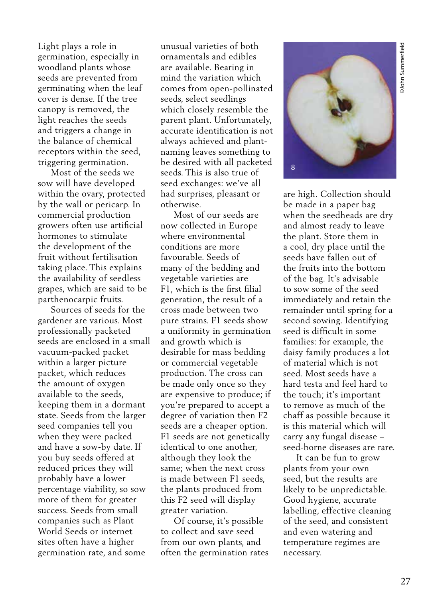Light plays a role in germination, especially in woodland plants whose seeds are prevented from germinating when the leaf cover is dense. If the tree canopy is removed, the light reaches the seeds and triggers a change in the balance of chemical receptors within the seed, triggering germination.

 Most of the seeds we sow will have developed within the ovary, protected by the wall or pericarp. In commercial production growers often use artificial hormones to stimulate the development of the fruit without fertilisation taking place. This explains the availability of seedless grapes, which are said to be parthenocarpic fruits.

 Sources of seeds for the gardener are various. Most professionally packeted seeds are enclosed in a small vacuum-packed packet within a larger picture packet, which reduces the amount of oxygen available to the seeds, keeping them in a dormant state. Seeds from the larger seed companies tell you when they were packed and have a sow-by date. If you buy seeds offered at reduced prices they will probably have a lower percentage viability, so sow more of them for greater success. Seeds from small companies such as Plant World Seeds or internet sites often have a higher germination rate, and some

unusual varieties of both ornamentals and edibles are available. Bearing in mind the variation which comes from open-pollinated seeds, select seedlings which closely resemble the parent plant. Unfortunately, accurate identification is not always achieved and plantnaming leaves something to be desired with all packeted seeds. This is also true of seed exchanges: we've all had surprises, pleasant or otherwise.

 Most of our seeds are now collected in Europe where environmental conditions are more favourable. Seeds of many of the bedding and vegetable varieties are F1, which is the first filial generation, the result of a cross made between two pure strains. F1 seeds show a uniformity in germination and growth which is desirable for mass bedding or commercial vegetable production. The cross can be made only once so they are expensive to produce; if you're prepared to accept a degree of variation then F2 seeds are a cheaper option. F1 seeds are not genetically identical to one another, although they look the same; when the next cross is made between F1 seeds, the plants produced from this F2 seed will display greater variation.

 Of course, it's possible to collect and save seed from our own plants, and often the germination rates



are high. Collection should be made in a paper bag when the seedheads are dry and almost ready to leave the plant. Store them in a cool, dry place until the seeds have fallen out of the fruits into the bottom of the bag. It's advisable to sow some of the seed immediately and retain the remainder until spring for a second sowing. Identifying seed is difficult in some families: for example, the daisy family produces a lot of material which is not seed. Most seeds have a hard testa and feel hard to the touch; it's important to remove as much of the chaff as possible because it is this material which will carry any fungal disease – seed-borne diseases are rare.

 It can be fun to grow plants from your own seed, but the results are likely to be unpredictable. Good hygiene, accurate labelling, effective cleaning of the seed, and consistent and even watering and temperature regimes are necessary.